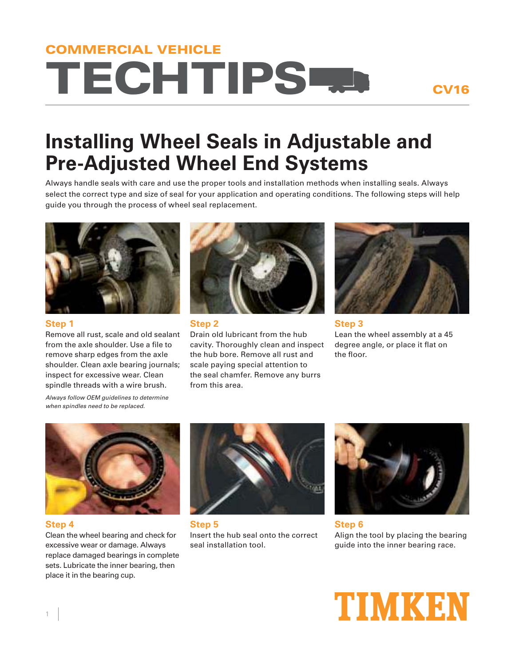# TECHTIPS COMMERCIAL VEHICLE

### CV16

## **Installing Wheel Seals in Adjustable and Pre-Adjusted Wheel End Systems**

Always handle seals with care and use the proper tools and installation methods when installing seals. Always select the correct type and size of seal for your application and operating conditions. The following steps will help guide you through the process of wheel seal replacement.



**Step 1**

Remove all rust, scale and old sealant from the axle shoulder. Use a file to remove sharp edges from the axle shoulder. Clean axle bearing journals; inspect for excessive wear. Clean spindle threads with a wire brush.



#### **Step 2**

Drain old lubricant from the hub cavity. Thoroughly clean and inspect the hub bore. Remove all rust and scale paying special attention to the seal chamfer. Remove any burrs from this area.



**Step 3** Lean the wheel assembly at a 45 degree angle, or place it flat on the floor.

Always follow OEM guidelines to determine when spindles need to be replaced.



#### **Step 4**

Clean the wheel bearing and check for excessive wear or damage. Always replace damaged bearings in complete sets. Lubricate the inner bearing, then place it in the bearing cup.



**Step 5** Insert the hub seal onto the correct seal installation tool.



**Step 6** Align the tool by placing the bearing guide into the inner bearing race.